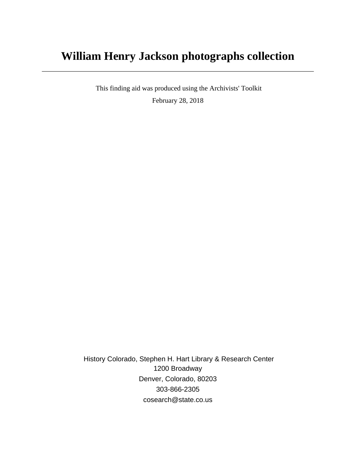# **William Henry Jackson photographs collection**

 This finding aid was produced using the Archivists' Toolkit February 28, 2018

 History Colorado, Stephen H. Hart Library & Research Center 1200 Broadway Denver, Colorado, 80203 303-866-2305 cosearch@state.co.us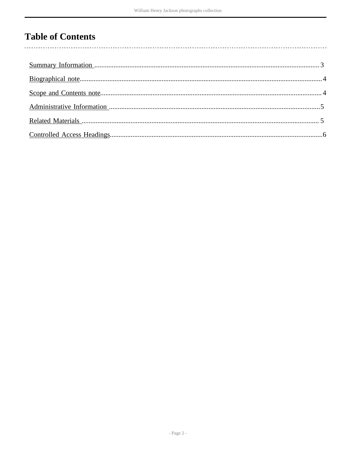# **Table of Contents**

 $\overline{\phantom{a}}$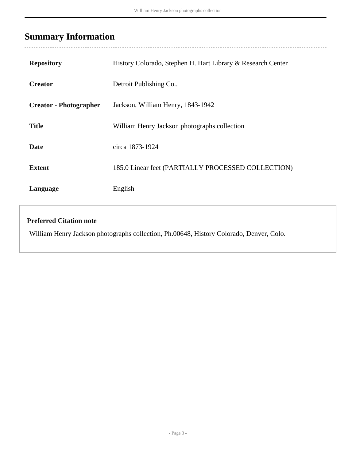# <span id="page-2-0"></span>**Summary Information**

| <b>Repository</b>             | History Colorado, Stephen H. Hart Library & Research Center |
|-------------------------------|-------------------------------------------------------------|
| <b>Creator</b>                | Detroit Publishing Co                                       |
| <b>Creator - Photographer</b> | Jackson, William Henry, 1843-1942                           |
| <b>Title</b>                  | William Henry Jackson photographs collection                |
| <b>Date</b>                   | circa 1873-1924                                             |
| <b>Extent</b>                 | 185.0 Linear feet (PARTIALLY PROCESSED COLLECTION)          |
| Language                      | English                                                     |
|                               |                                                             |

#### **Preferred Citation note**

William Henry Jackson photographs collection, Ph.00648, History Colorado, Denver, Colo.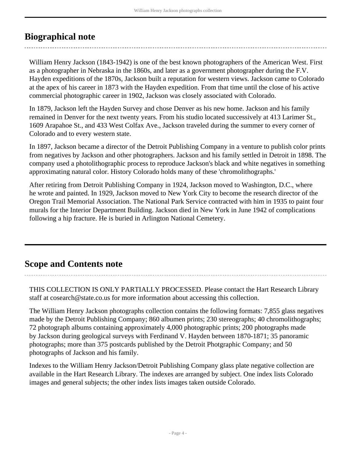## <span id="page-3-0"></span>**Biographical note**

William Henry Jackson (1843-1942) is one of the best known photographers of the American West. First as a photographer in Nebraska in the 1860s, and later as a government photographer during the F.V. Hayden expeditions of the 1870s, Jackson built a reputation for western views. Jackson came to Colorado at the apex of his career in 1873 with the Hayden expedition. From that time until the close of his active commercial photographic career in 1902, Jackson was closely associated with Colorado.

In 1879, Jackson left the Hayden Survey and chose Denver as his new home. Jackson and his family remained in Denver for the next twenty years. From his studio located successively at 413 Larimer St., 1609 Arapahoe St., and 433 West Colfax Ave., Jackson traveled during the summer to every corner of Colorado and to every western state.

In 1897, Jackson became a director of the Detroit Publishing Company in a venture to publish color prints from negatives by Jackson and other photographers. Jackson and his family settled in Detroit in 1898. The company used a photolithographic process to reproduce Jackson's black and white negatives in something approximating natural color. History Colorado holds many of these 'chromolithographs.'

After retiring from Detroit Publishing Company in 1924, Jackson moved to Washington, D.C., where he wrote and painted. In 1929, Jackson moved to New York City to become the research director of the Oregon Trail Memorial Association. The National Park Service contracted with him in 1935 to paint four murals for the Interior Department Building. Jackson died in New York in June 1942 of complications following a hip fracture. He is buried in Arlington National Cemetery.

## <span id="page-3-1"></span>**Scope and Contents note**

THIS COLLECTION IS ONLY PARTIALLY PROCESSED. Please contact the Hart Research Library staff at cosearch@state.co.us for more information about accessing this collection.

The William Henry Jackson photographs collection contains the following formats: 7,855 glass negatives made by the Detroit Publishing Company; 860 albumen prints; 230 stereographs; 40 chromolithographs; 72 photograph albums containing approximately 4,000 photographic prints; 200 photographs made by Jackson during geological surveys with Ferdinand V. Hayden between 1870-1871; 35 panoramic photographs; more than 375 postcards published by the Detroit Photgraphic Company; and 50 photographs of Jackson and his family.

Indexes to the William Henry Jackson/Detroit Publishing Company glass plate negative collection are available in the Hart Research Library. The indexes are arranged by subject. One index lists Colorado images and general subjects; the other index lists images taken outside Colorado.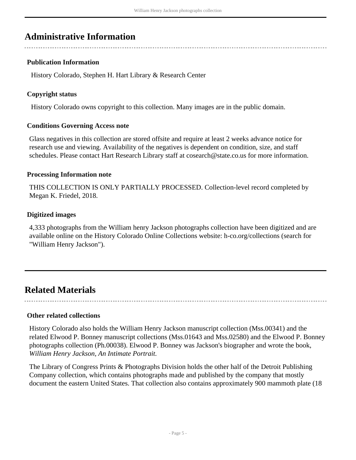### <span id="page-4-0"></span>**Administrative Information**

#### **Publication Information**

History Colorado, Stephen H. Hart Library & Research Center

#### **Copyright status**

History Colorado owns copyright to this collection. Many images are in the public domain.

#### **Conditions Governing Access note**

Glass negatives in this collection are stored offsite and require at least 2 weeks advance notice for research use and viewing. Availability of the negatives is dependent on condition, size, and staff schedules. Please contact Hart Research Library staff at cosearch@state.co.us for more information.

#### **Processing Information note**

THIS COLLECTION IS ONLY PARTIALLY PROCESSED. Collection-level record completed by Megan K. Friedel, 2018.

#### **Digitized images**

4,333 photographs from the William henry Jackson photographs collection have been digitized and are available online on the History Colorado Online Collections website: h-co.org/collections (search for "William Henry Jackson").

### <span id="page-4-1"></span>**Related Materials**

**Other related collections**

History Colorado also holds the William Henry Jackson manuscript collection (Mss.00341) and the related Elwood P. Bonney manuscript collections (Mss.01643 and Mss.02580) and the Elwood P. Bonney photographs collection (Ph.00038). Elwood P. Bonney was Jackson's biographer and wrote the book, *William Henry Jackson, An Intimate Portrait.*

The Library of Congress Prints & Photographs Division holds the other half of the Detroit Publishing Company collection, which contains photographs made and published by the company that mostly document the eastern United States. That collection also contains approximately 900 mammoth plate (18